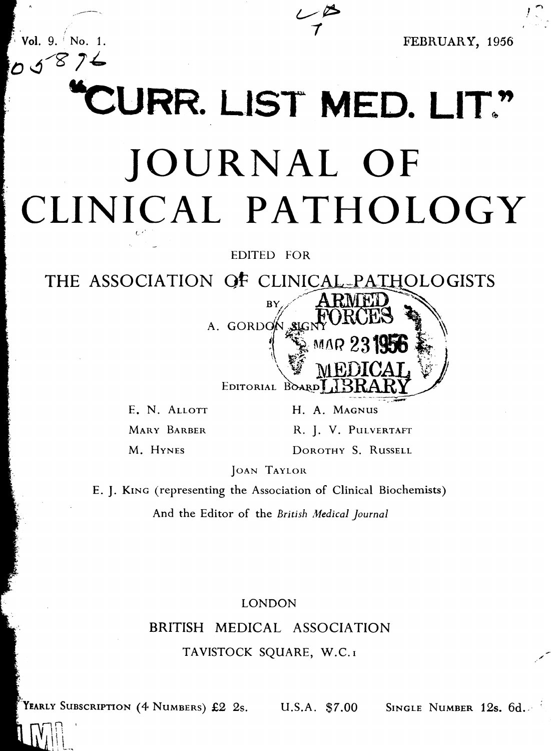$58$ 

 $Vol. 9.$  No. 1. The set of the set of the set of the set of the set of the set of the set of the set of the set of the set of the set of the set of the set of the set of the set of the set of the set of the set of the set

!

# CURR. LIST MED. LIT." JOURNAL OF CLINICAL PATHOLOGY

EDITED FOR

THE ASSOCIATION OF CLINICAL-PATHOLOGISTS



E. N. ALLOTT H. A. MAGNUS

C,.

MARY BARBER R. J. V. PULVERTAFT

M. HYNES DOROTHY S. RUSSELL

JOAN TAYLOR

E. J. KING (representing the Association of Clinical Biochemists)

And the Editor of the British Medical Journal

LONDON

# BRITISH MEDICAL ASSOCIATION TAVISTOCK SQUARE, W.C.I

YEARLY SUBSCRIPTION  $(4 \text{ Numbers})$  £2  $2\text{s}$ .

 $\overline{\Omega}$  , i! I.

U.S.A. \$7.00 SINGLE NUMBER 12s. 6d.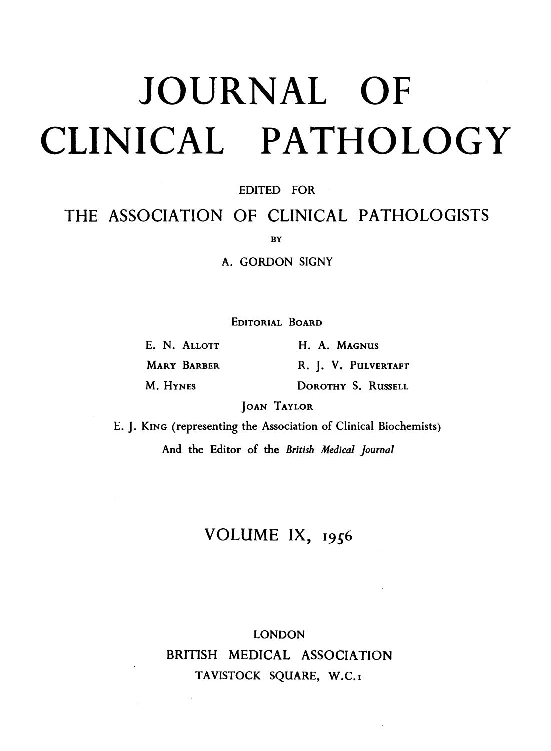# JOURNAL OFCLINICAL PATHOLOGY

# EDITED FOR

# THE ASSOCIATION OF CLINICAL PATHOLOGISTS

**BY** 

A. GORDON SIGNY

EDITORIAL BOARD

| E. N. ALLOTT       | H. A. Magnus        |
|--------------------|---------------------|
| <b>MARY BARBER</b> | R. J. V. PULVERTAFT |
| M. HYNES           | DOROTHY S. RUSSELL  |

JOAN TAYLOR

E. J. KING (representing the Association of Clinical Biochemists) And the Editor of the British Medical Journal

# VOLUME IX, 1956

# LONDON BRITISH MEDICAL ASSOCIATION TAVISTOCK SQUARE, W.C.I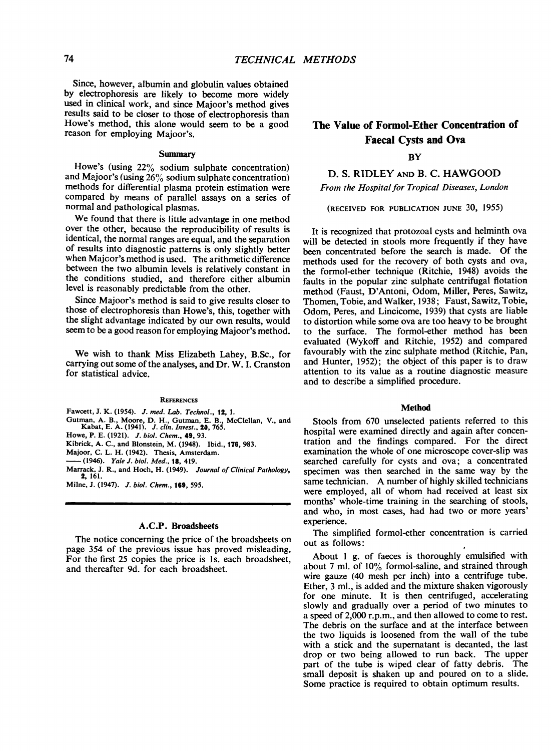Since, however, albumin and globulin values obtained by electrophoresis are likely to become more widely used in clinical work, and since Majoor's method gives results said to be closer to those of electrophoresis than Howe's method, this alone would seem to be a good reason for employing Majoor's.

## Summary

Howe's (using 22% sodium sulphate concentration) and Majoor's (using  $26\%$  sodium sulphate concentration) methods for differential plasma protein estimation were compared by means of parallel assays on a series of normal and pathological plasmas.

We found that there is little advantage in one method over the other, because the reproducibility of results is identical, the normal ranges are equal, and the separation of results into diagnostic patterns is only slightly better when Majcor's method is used. The arithmetic difference between the two albumin levels is relatively constant in the conditions studied, and therefore either albumin level is reasonably predictable from the other.

Since Majoor's method is said to give results closer to those of electrophoresis than Howe's, this, together with the slight advantage indicated by our own results, would seem to be a good reason for employing Majoor's method.

We wish to thank Miss Elizabeth Lahey, B.Sc., for carrying out some of the analyses, and Dr. W. I. Cranston for statistical advice.

### **REFERENCES**

- Fawcett, J. K. (1954). J. med. Lab. Technol., 12, 1.
- Gutman, A. B., Moore, D. H., Gutman, E. B., McClellan, V., and Kabat, E. A. (1941). *J. clin. Invest.*, **20**, 765.
- Howe, P. E. (1921). J. biol. Chem., 49, 93.
- Kibrick, A. C., and Blonstein, M. (1948). Ibid., 176, 983.
- Majoor, C. L. H. (1942). Thesis, Amsterdam. -(1946). Yale J. biol. Med., 18, 419.
- 

Marrack, J. R., and Hoch, H. (1949). Journal of Clinical Pathology, 2, 161. Milne, J. (1947). J. biol. Chem., 169, 595.

## A.C.P. Broadsheets

The notice concerning the price of the broadsheets on page 354 of the previous issue has proved misleading. For the first 25 copies the price is Is. each broadsheet, and thereafter 9d. for each broadsheet.

# The Value of Formol-Ether Concentration of Faecal Cysts and Ova

# **BY**

D. S. RIDLEY AND B. C. HAWGOOD

From the Hospital for Tropical Diseases, London

(RECEIVED FOR PUBLICATION JUNE 30, 1955)

It is recognized that protozoal cysts and helminth ova will be detected in stools more frequently if they have been concentrated before the search is made. Of the methods used for the recovery of both cysts and ova, the formol-ether technique (Ritchie, 1948) avoids the faults in the popular zinc sulphate centrifugal flotation method (Faust, D'Antoni, Odom, Miller, Peres, Sawitz, Thomen, Tobie, and Walker, 1938; Faust, Sawitz, Tobie, Odom, Peres, and Lincicome, 1939) that cysts are liable to distortion while some ova are too heavy to be brought to the surface. The formol-ether method has been evaluated (Wykoff and Ritchie, 1952) and compared favourably with the zinc sulphate method (Ritchie, Pan, and Hunter, 1952); the object of this paper is to draw attention to its value as a routine diagnostic measure and to describe a simplified procedure.

### Method

Stools from 670 unselected patients referred to this hospital were examined directly and again after concentration and the findings compared. For the direct examination the whole of one microscope cover-slip was searched carefully for cysts and ova; a concentrated specimen was then searched in the same way by the same technician. A number of highly skilled technicians were employed, all of whom had received at least six months' whole-time training in the searching of stools, and who, in most cases, had had two or more years' experience.

The simplified formol-ether concentration is carried out as follows:

About <sup>1</sup> g. of faeces is thoroughly emulsified with about 7 ml. of 10% formol-saline, and strained through wire gauze (40 mesh per inch) into a centrifuge tube. Ether, 3 ml., is added and the mixture shaken vigorously for one minute. It is then centrifuged, accelerating slowly and gradually over a period of two minutes to a speed of 2,000 r.p.m., and then allowed to come to rest. The debris on the surface and at the interface between the two liquids is loosened from the wall of the tube with a stick and the supernatant is decanted, the last drop or two being allowed to run back. The upper part of the tube is wiped clear of fatty debris. The small deposit is shaken up and poured on to a slide. Some practice is required to obtain optimum results.